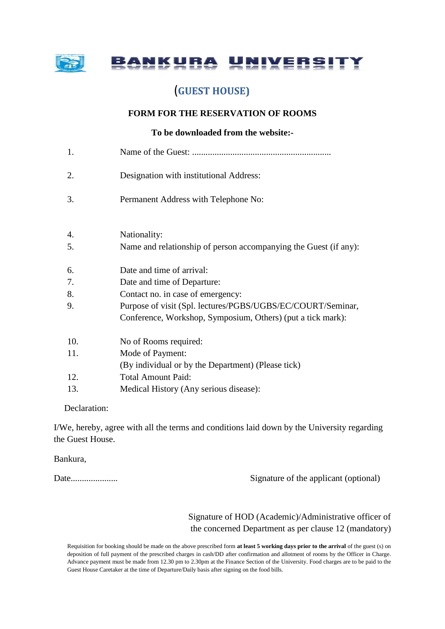

NKURA **UNIVERS** 

# (**GUEST HOUSE)**

## **FORM FOR THE RESERVATION OF ROOMS**

## **To be downloaded from the website:-**

1. Name of the Guest: .............................................................. 2. Designation with institutional Address: 3. Permanent Address with Telephone No: 4. Nationality: 5. Name and relationship of person accompanying the Guest (if any): 6. Date and time of arrival: 7. Date and time of Departure: 8. Contact no. in case of emergency: 9. Purpose of visit (Spl. lectures/PGBS/UGBS/EC/COURT/Seminar, Conference, Workshop, Symposium, Others) (put a tick mark): 10. No of Rooms required: 11. Mode of Payment: (By individual or by the Department) (Please tick) 12. Total Amount Paid: 13. Medical History (Any serious disease):

## Declaration:

I/We, hereby, agree with all the terms and conditions laid down by the University regarding the Guest House.

Bankura,

Date..................... Signature of the applicant (optional)

 Signature of HOD (Academic)/Administrative officer of the concerned Department as per clause 12 (mandatory)

Requisition for booking should be made on the above prescribed form **at least 5 working days prior to the arrival** of the guest (s) on deposition of full payment of the prescribed charges in cash/DD after confirmation and allotment of rooms by the Officer in Charge. Advance payment must be made from 12.30 pm to 2.30pm at the Finance Section of the University. Food charges are to be paid to the Guest House Caretaker at the time of Departure/Daily basis after signing on the food bills.